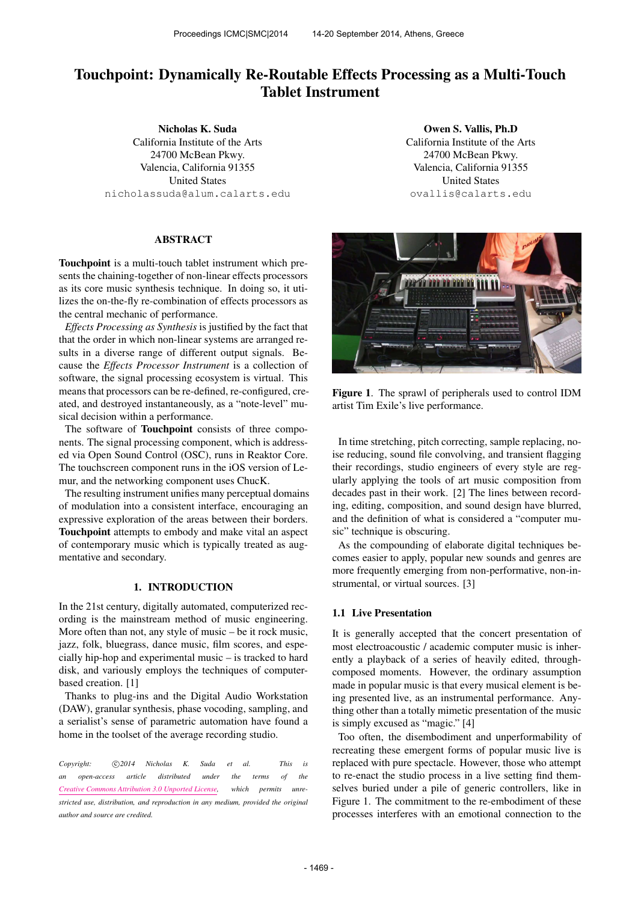# Touchpoint: Dynamically Re-Routable Effects Processing as a Multi-Touch Tablet Instrument

Nicholas K. Suda California Institute of the Arts 24700 McBean Pkwy. Valencia, California 91355 United States [nicholassuda@alum.calarts.edu](mailto:nicholassuda@alum.calarts.edu)

# ABSTRACT

Touchpoint is a multi-touch tablet instrument which presents the chaining-together of non-linear effects processors as its core music synthesis technique. In doing so, it utilizes the on-the-fly re-combination of effects processors as the central mechanic of performance.

*Effects Processing as Synthesis* is justified by the fact that that the order in which non-linear systems are arranged results in a diverse range of different output signals. Because the *Effects Processor Instrument* is a collection of software, the signal processing ecosystem is virtual. This means that processors can be re-defined, re-configured, created, and destroyed instantaneously, as a "note-level" musical decision within a performance.

The software of **Touchpoint** consists of three components. The signal processing component, which is addressed via Open Sound Control (OSC), runs in Reaktor Core. The touchscreen component runs in the iOS version of Lemur, and the networking component uses ChucK.

The resulting instrument unifies many perceptual domains of modulation into a consistent interface, encouraging an expressive exploration of the areas between their borders. Touchpoint attempts to embody and make vital an aspect of contemporary music which is typically treated as augmentative and secondary.

# 1. INTRODUCTION

In the 21st century, digitally automated, computerized recording is the mainstream method of music engineering. More often than not, any style of music – be it rock music, jazz, folk, bluegrass, dance music, film scores, and especially hip-hop and experimental music – is tracked to hard disk, and variously employs the techniques of computerbased creation. [1]

Thanks to plug-ins and the Digital Audio Workstation (DAW), granular synthesis, phase vocoding, sampling, and a serialist's sense of parametric automation have found a home in the toolset of the average recording studio.

Copyright:  $\bigcirc$  2014 Nicholas K. Suda et al. This is *an open-access article distributed under the terms of the [Creative Commons Attribution 3.0 Unported License,](http://creativecommons.org/licenses/by/3.0/) which permits unrestricted use, distribution, and reproduction in any medium, provided the original author and source are credited.*

Owen S. Vallis, Ph.D California Institute of the Arts 24700 McBean Pkwy. Valencia, California 91355 United States [ovallis@calarts.edu](mailto:ovallis@calarts.edu)



Figure 1. The sprawl of peripherals used to control IDM artist Tim Exile's live performance.

In time stretching, pitch correcting, sample replacing, noise reducing, sound file convolving, and transient flagging their recordings, studio engineers of every style are regularly applying the tools of art music composition from decades past in their work. [2] The lines between recording, editing, composition, and sound design have blurred, and the definition of what is considered a "computer music" technique is obscuring.

As the compounding of elaborate digital techniques becomes easier to apply, popular new sounds and genres are more frequently emerging from non-performative, non-instrumental, or virtual sources. [3]

#### 1.1 Live Presentation

It is generally accepted that the concert presentation of most electroacoustic / academic computer music is inherently a playback of a series of heavily edited, throughcomposed moments. However, the ordinary assumption made in popular music is that every musical element is being presented live, as an instrumental performance. Anything other than a totally mimetic presentation of the music is simply excused as "magic." [4]

Too often, the disembodiment and unperformability of recreating these emergent forms of popular music live is replaced with pure spectacle. However, those who attempt to re-enact the studio process in a live setting find themselves buried under a pile of generic controllers, like in Figure 1. The commitment to the re-embodiment of these processes interferes with an emotional connection to the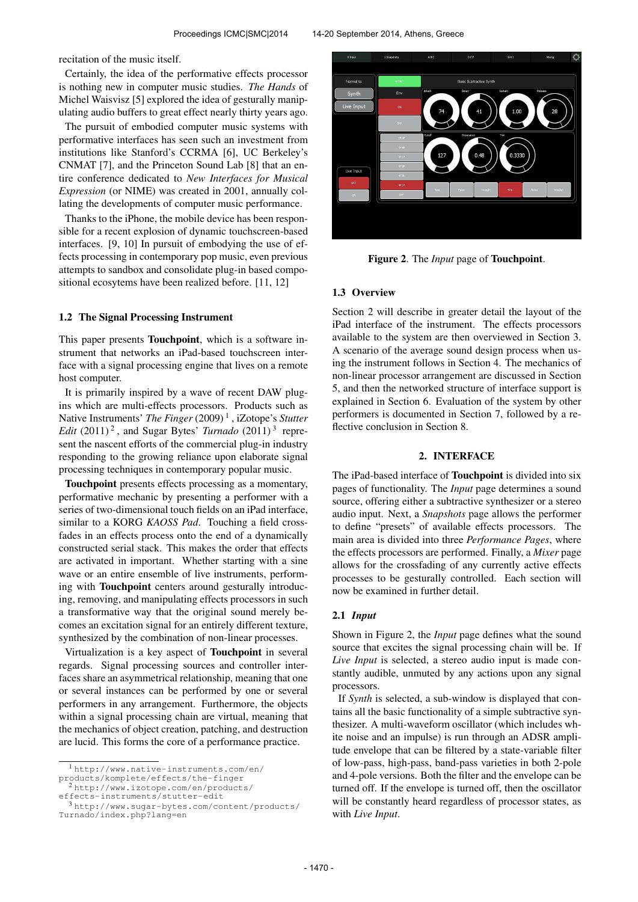recitation of the music itself.

Certainly, the idea of the performative effects processor is nothing new in computer music studies. *The Hands* of Michel Waisvisz [5] explored the idea of gesturally manipulating audio buffers to great effect nearly thirty years ago.

The pursuit of embodied computer music systems with performative interfaces has seen such an investment from institutions like Stanford's CCRMA [6], UC Berkeley's CNMAT [7], and the Princeton Sound Lab [8] that an entire conference dedicated to *New Interfaces for Musical Expression* (or NIME) was created in 2001, annually collating the developments of computer music performance.

Thanks to the iPhone, the mobile device has been responsible for a recent explosion of dynamic touchscreen-based interfaces. [9, 10] In pursuit of embodying the use of effects processing in contemporary pop music, even previous attempts to sandbox and consolidate plug-in based compositional ecosytems have been realized before. [11, 12]

## 1.2 The Signal Processing Instrument

This paper presents **Touchpoint**, which is a software instrument that networks an iPad-based touchscreen interface with a signal processing engine that lives on a remote host computer.

It is primarily inspired by a wave of recent DAW plugins which are multi-effects processors. Products such as Native Instruments' *The Finger* (2009)<sup>1</sup>, iZotope's *Stutter* Edit (2011)<sup>2</sup>, and Sugar Bytes' *Turnado* (2011)<sup>3</sup> represent the nascent efforts of the commercial plug-in industry responding to the growing reliance upon elaborate signal processing techniques in contemporary popular music.

Touchpoint presents effects processing as a momentary, performative mechanic by presenting a performer with a series of two-dimensional touch fields on an iPad interface, similar to a KORG *KAOSS Pad*. Touching a field crossfades in an effects process onto the end of a dynamically constructed serial stack. This makes the order that effects are activated in important. Whether starting with a sine wave or an entire ensemble of live instruments, performing with Touchpoint centers around gesturally introducing, removing, and manipulating effects processors in such a transformative way that the original sound merely becomes an excitation signal for an entirely different texture, synthesized by the combination of non-linear processes.

Virtualization is a key aspect of Touchpoint in several regards. Signal processing sources and controller interfaces share an asymmetrical relationship, meaning that one or several instances can be performed by one or several performers in any arrangement. Furthermore, the objects within a signal processing chain are virtual, meaning that the mechanics of object creation, patching, and destruction are lucid. This forms the core of a performance practice.

<sup>2</sup> [http://www.izotope.com/en/products/](http://www.izotope.com/en/products/effects-instruments/stutter-edit)

[effects-instruments/stutter-edit](http://www.izotope.com/en/products/effects-instruments/stutter-edit)



Figure 2. The *Input* page of Touchpoint.

# 1.3 Overview

Section 2 will describe in greater detail the layout of the iPad interface of the instrument. The effects processors available to the system are then overviewed in Section 3. A scenario of the average sound design process when using the instrument follows in Section 4. The mechanics of non-linear processor arrangement are discussed in Section 5, and then the networked structure of interface support is explained in Section 6. Evaluation of the system by other performers is documented in Section 7, followed by a reflective conclusion in Section 8.

## 2. INTERFACE

The iPad-based interface of Touchpoint is divided into six pages of functionality. The *Input* page determines a sound source, offering either a subtractive synthesizer or a stereo audio input. Next, a *Snapshots* page allows the performer to define "presets" of available effects processors. The main area is divided into three *Performance Pages*, where the effects processors are performed. Finally, a *Mixer* page allows for the crossfading of any currently active effects processes to be gesturally controlled. Each section will now be examined in further detail.

## 2.1 *Input*

Shown in Figure 2, the *Input* page defines what the sound source that excites the signal processing chain will be. If *Live Input* is selected, a stereo audio input is made constantly audible, unmuted by any actions upon any signal processors.

If *Synth* is selected, a sub-window is displayed that contains all the basic functionality of a simple subtractive synthesizer. A multi-waveform oscillator (which includes white noise and an impulse) is run through an ADSR amplitude envelope that can be filtered by a state-variable filter of low-pass, high-pass, band-pass varieties in both 2-pole and 4-pole versions. Both the filter and the envelope can be turned off. If the envelope is turned off, then the oscillator will be constantly heard regardless of processor states, as with *Live Input*.

<sup>1</sup> [http://www.native-instruments.com/en/](http://www.native-instruments.com/en/products/komplete/effects/the-finger) [products/komplete/effects/the-finger](http://www.native-instruments.com/en/products/komplete/effects/the-finger)

<sup>3</sup> [http://www.sugar-bytes.com/content/products/](http://www.sugar-bytes.com/content/products/Turnado/index.php?lang=en) [Turnado/index.php?lang=en](http://www.sugar-bytes.com/content/products/Turnado/index.php?lang=en)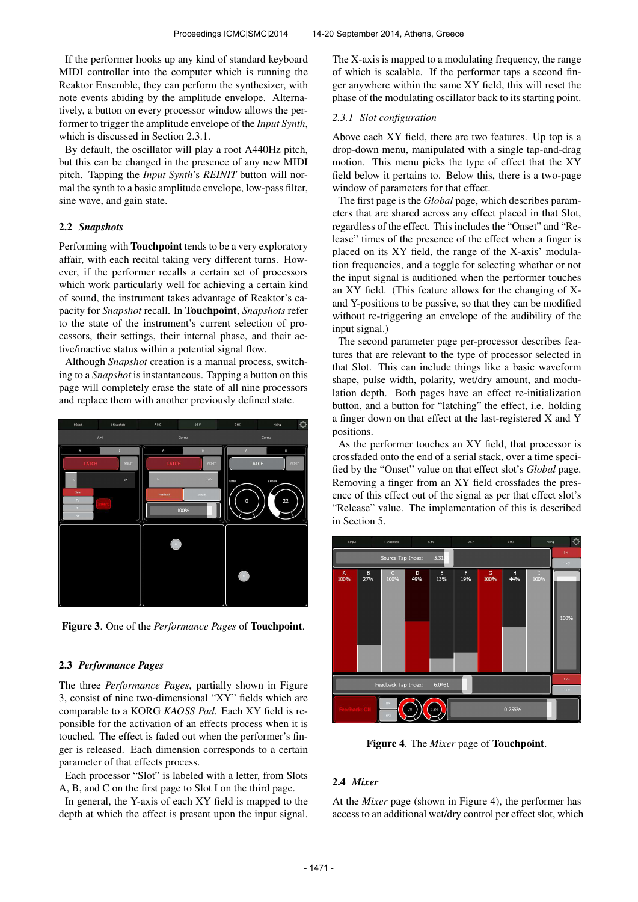If the performer hooks up any kind of standard keyboard MIDI controller into the computer which is running the Reaktor Ensemble, they can perform the synthesizer, with note events abiding by the amplitude envelope. Alternatively, a button on every processor window allows the performer to trigger the amplitude envelope of the *Input Synth*, which is discussed in Section 2.3.1.

By default, the oscillator will play a root A440Hz pitch, but this can be changed in the presence of any new MIDI pitch. Tapping the *Input Synth*'s *REINIT* button will normal the synth to a basic amplitude envelope, low-pass filter, sine wave, and gain state.

# 2.2 *Snapshots*

Performing with Touchpoint tends to be a very exploratory affair, with each recital taking very different turns. However, if the performer recalls a certain set of processors which work particularly well for achieving a certain kind of sound, the instrument takes advantage of Reaktor's capacity for *Snapshot* recall. In Touchpoint, *Snapshots* refer to the state of the instrument's current selection of processors, their settings, their internal phase, and their active/inactive status within a potential signal flow.

Although *Snapshot* creation is a manual process, switching to a *Snapshot* is instantaneous. Tapping a button on this page will completely erase the state of all nine processors and replace them with another previously defined state.



Figure 3. One of the *Performance Pages* of Touchpoint.

## 2.3 *Performance Pages*

The three *Performance Pages*, partially shown in Figure 3, consist of nine two-dimensional "XY" fields which are comparable to a KORG *KAOSS Pad*. Each XY field is reponsible for the activation of an effects process when it is touched. The effect is faded out when the performer's finger is released. Each dimension corresponds to a certain parameter of that effects process.

Each processor "Slot" is labeled with a letter, from Slots A, B, and C on the first page to Slot I on the third page.

In general, the Y-axis of each XY field is mapped to the depth at which the effect is present upon the input signal. The X-axis is mapped to a modulating frequency, the range of which is scalable. If the performer taps a second finger anywhere within the same XY field, this will reset the phase of the modulating oscillator back to its starting point.

## *2.3.1 Slot configuration*

Above each XY field, there are two features. Up top is a drop-down menu, manipulated with a single tap-and-drag motion. This menu picks the type of effect that the XY field below it pertains to. Below this, there is a two-page window of parameters for that effect.

The first page is the *Global* page, which describes parameters that are shared across any effect placed in that Slot, regardless of the effect. This includes the "Onset" and "Release" times of the presence of the effect when a finger is placed on its XY field, the range of the X-axis' modulation frequencies, and a toggle for selecting whether or not the input signal is auditioned when the performer touches an XY field. (This feature allows for the changing of Xand Y-positions to be passive, so that they can be modified without re-triggering an envelope of the audibility of the input signal.)

The second parameter page per-processor describes features that are relevant to the type of processor selected in that Slot. This can include things like a basic waveform shape, pulse width, polarity, wet/dry amount, and modulation depth. Both pages have an effect re-initialization button, and a button for "latching" the effect, i.e. holding a finger down on that effect at the last-registered X and Y positions.

As the performer touches an XY field, that processor is crossfaded onto the end of a serial stack, over a time specified by the "Onset" value on that effect slot's *Global* page. Removing a finger from an XY field crossfades the presence of this effect out of the signal as per that effect slot's "Release" value. The implementation of this is described in Section 5.



Figure 4. The *Mixer* page of Touchpoint.

# 2.4 *Mixer*

At the *Mixer* page (shown in Figure 4), the performer has access to an additional wet/dry control per effect slot, which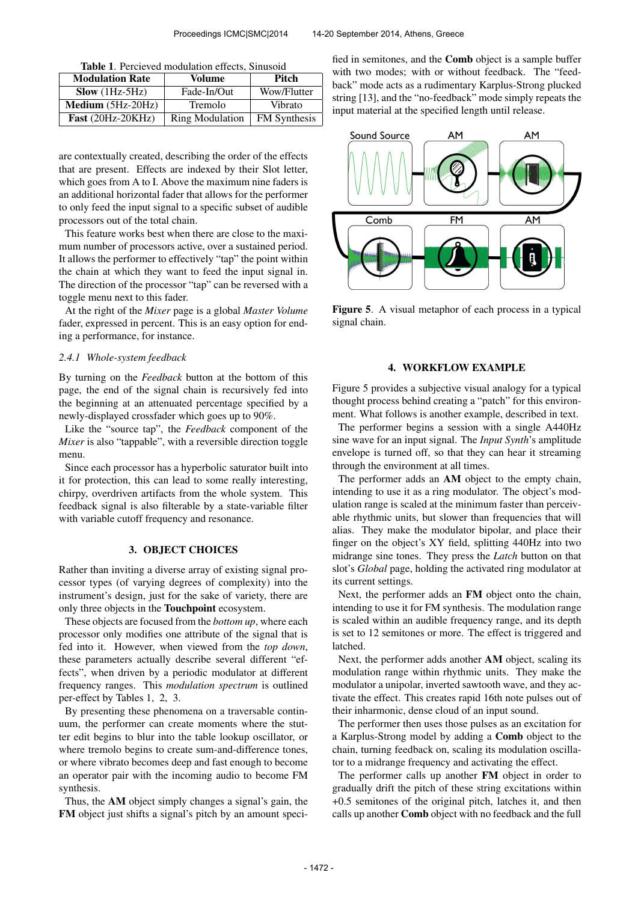| Table 1. Percieved modulation effects, Sinusoid |  |  |
|-------------------------------------------------|--|--|
|-------------------------------------------------|--|--|

| <b>Modulation Rate</b>     | Volume                 | <b>Pitch</b>        |  |
|----------------------------|------------------------|---------------------|--|
| $Slow (1Hz-5Hz)$           | Fade-In/Out            | Wow/Flutter         |  |
| $Median (5Hz-20Hz)$        | Tremolo                | Vibrato             |  |
| <b>Fast</b> $(20Hz-20KHz)$ | <b>Ring Modulation</b> | <b>FM</b> Synthesis |  |

are contextually created, describing the order of the effects that are present. Effects are indexed by their Slot letter, which goes from A to I. Above the maximum nine faders is an additional horizontal fader that allows for the performer to only feed the input signal to a specific subset of audible processors out of the total chain.

This feature works best when there are close to the maximum number of processors active, over a sustained period. It allows the performer to effectively "tap" the point within the chain at which they want to feed the input signal in. The direction of the processor "tap" can be reversed with a toggle menu next to this fader.

At the right of the *Mixer* page is a global *Master Volume* fader, expressed in percent. This is an easy option for ending a performance, for instance.

# *2.4.1 Whole-system feedback*

By turning on the *Feedback* button at the bottom of this page, the end of the signal chain is recursively fed into the beginning at an attenuated percentage specified by a newly-displayed crossfader which goes up to 90%.

Like the "source tap", the *Feedback* component of the *Mixer* is also "tappable", with a reversible direction toggle menu.

Since each processor has a hyperbolic saturator built into it for protection, this can lead to some really interesting, chirpy, overdriven artifacts from the whole system. This feedback signal is also filterable by a state-variable filter with variable cutoff frequency and resonance.

#### 3. OBJECT CHOICES

Rather than inviting a diverse array of existing signal processor types (of varying degrees of complexity) into the instrument's design, just for the sake of variety, there are only three objects in the Touchpoint ecosystem.

These objects are focused from the *bottom up*, where each processor only modifies one attribute of the signal that is fed into it. However, when viewed from the *top down*, these parameters actually describe several different "effects", when driven by a periodic modulator at different frequency ranges. This *modulation spectrum* is outlined per-effect by Tables 1, 2, 3.

By presenting these phenomena on a traversable continuum, the performer can create moments where the stutter edit begins to blur into the table lookup oscillator, or where tremolo begins to create sum-and-difference tones, or where vibrato becomes deep and fast enough to become an operator pair with the incoming audio to become FM synthesis.

Thus, the AM object simply changes a signal's gain, the FM object just shifts a signal's pitch by an amount specified in semitones, and the Comb object is a sample buffer with two modes; with or without feedback. The "feedback" mode acts as a rudimentary Karplus-Strong plucked string [13], and the "no-feedback" mode simply repeats the input material at the specified length until release.



Figure 5. A visual metaphor of each process in a typical signal chain.

# 4. WORKFLOW EXAMPLE

Figure 5 provides a subjective visual analogy for a typical thought process behind creating a "patch" for this environment. What follows is another example, described in text.

The performer begins a session with a single A440Hz sine wave for an input signal. The *Input Synth*'s amplitude envelope is turned off, so that they can hear it streaming through the environment at all times.

The performer adds an AM object to the empty chain, intending to use it as a ring modulator. The object's modulation range is scaled at the minimum faster than perceivable rhythmic units, but slower than frequencies that will alias. They make the modulator bipolar, and place their finger on the object's XY field, splitting 440Hz into two midrange sine tones. They press the *Latch* button on that slot's *Global* page, holding the activated ring modulator at its current settings.

Next, the performer adds an FM object onto the chain, intending to use it for FM synthesis. The modulation range is scaled within an audible frequency range, and its depth is set to 12 semitones or more. The effect is triggered and latched.

Next, the performer adds another AM object, scaling its modulation range within rhythmic units. They make the modulator a unipolar, inverted sawtooth wave, and they activate the effect. This creates rapid 16th note pulses out of their inharmonic, dense cloud of an input sound.

The performer then uses those pulses as an excitation for a Karplus-Strong model by adding a Comb object to the chain, turning feedback on, scaling its modulation oscillator to a midrange frequency and activating the effect.

The performer calls up another FM object in order to gradually drift the pitch of these string excitations within +0.5 semitones of the original pitch, latches it, and then calls up another Comb object with no feedback and the full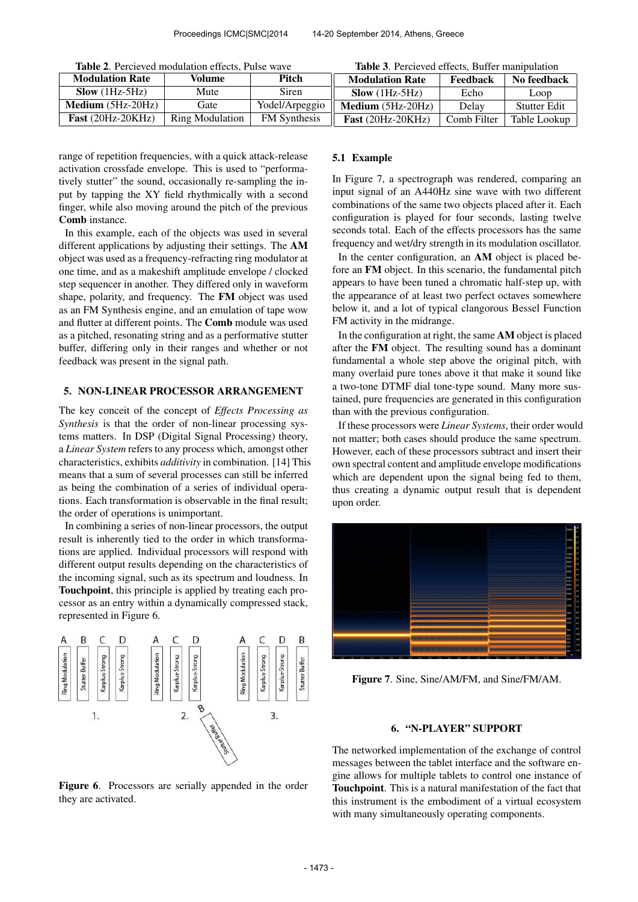| <b>Table 2.</b> Percieved modulation effects, Pulse wave |  |
|----------------------------------------------------------|--|
|----------------------------------------------------------|--|

|  |  |  |  |  | Table 3. Percieved effects, Buffer manipulation |
|--|--|--|--|--|-------------------------------------------------|
|--|--|--|--|--|-------------------------------------------------|

| <b>Modulation Rate</b>     | Volume          | Pitch               | <b>Modulation Rate</b>     | Feedback    | No feedback         |
|----------------------------|-----------------|---------------------|----------------------------|-------------|---------------------|
| $Slow (1Hz-5Hz)$           | Mute            | Siren               | $Slow (1Hz-5Hz)$           | Echo        | Loop                |
| <b>Medium</b> $(5Hz-20Hz)$ | Gate            | Yodel/Arpeggio      | <b>Medium</b> $(5Hz-20Hz)$ | Delay       | <b>Stutter Edit</b> |
| <b>Fast</b> $(20Hz-20KHz)$ | Ring Modulation | <b>FM</b> Synthesis | <b>Fast</b> $(20Hz-20KHz)$ | Comb Filter | Table Lookup        |

range of repetition frequencies, with a quick attack-release activation crossfade envelope. This is used to "performatively stutter" the sound, occasionally re-sampling the input by tapping the XY field rhythmically with a second finger, while also moving around the pitch of the previous Comb instance.

In this example, each of the objects was used in several different applications by adjusting their settings. The AM object was used as a frequency-refracting ring modulator at one time, and as a makeshift amplitude envelope / clocked step sequencer in another. They differed only in waveform shape, polarity, and frequency. The FM object was used as an FM Synthesis engine, and an emulation of tape wow and flutter at different points. The Comb module was used as a pitched, resonating string and as a performative stutter buffer, differing only in their ranges and whether or not feedback was present in the signal path.

# 5. NON-LINEAR PROCESSOR ARRANGEMENT

The key conceit of the concept of *Effects Processing as Synthesis* is that the order of non-linear processing systems matters. In DSP (Digital Signal Processing) theory, a *Linear System* refers to any process which, amongst other characteristics, exhibits *additivity* in combination. [14] This means that a sum of several processes can still be inferred as being the combination of a series of individual operations. Each transformation is observable in the final result; the order of operations is unimportant.

In combining a series of non-linear processors, the output result is inherently tied to the order in which transformations are applied. Individual processors will respond with different output results depending on the characteristics of the incoming signal, such as its spectrum and loudness. In Touchpoint, this principle is applied by treating each processor as an entry within a dynamically compressed stack, represented in Figure 6.



Figure 6. Processors are serially appended in the order they are activated.

#### 5.1 Example

In Figure 7, a spectrograph was rendered, comparing an input signal of an A440Hz sine wave with two different combinations of the same two objects placed after it. Each configuration is played for four seconds, lasting twelve seconds total. Each of the effects processors has the same frequency and wet/dry strength in its modulation oscillator.

In the center configuration, an AM object is placed before an FM object. In this scenario, the fundamental pitch appears to have been tuned a chromatic half-step up, with the appearance of at least two perfect octaves somewhere below it, and a lot of typical clangorous Bessel Function FM activity in the midrange.

In the configuration at right, the same AM object is placed after the FM object. The resulting sound has a dominant fundamental a whole step above the original pitch, with many overlaid pure tones above it that make it sound like a two-tone DTMF dial tone-type sound. Many more sustained, pure frequencies are generated in this configuration than with the previous configuration.

If these processors were *Linear Systems*, their order would not matter; both cases should produce the same spectrum. However, each of these processors subtract and insert their own spectral content and amplitude envelope modifications which are dependent upon the signal being fed to them, thus creating a dynamic output result that is dependent upon order.



Figure 7. Sine, Sine/AM/FM, and Sine/FM/AM.

## 6. "N-PLAYER" SUPPORT

The networked implementation of the exchange of control messages between the tablet interface and the software engine allows for multiple tablets to control one instance of Touchpoint. This is a natural manifestation of the fact that this instrument is the embodiment of a virtual ecosystem with many simultaneously operating components.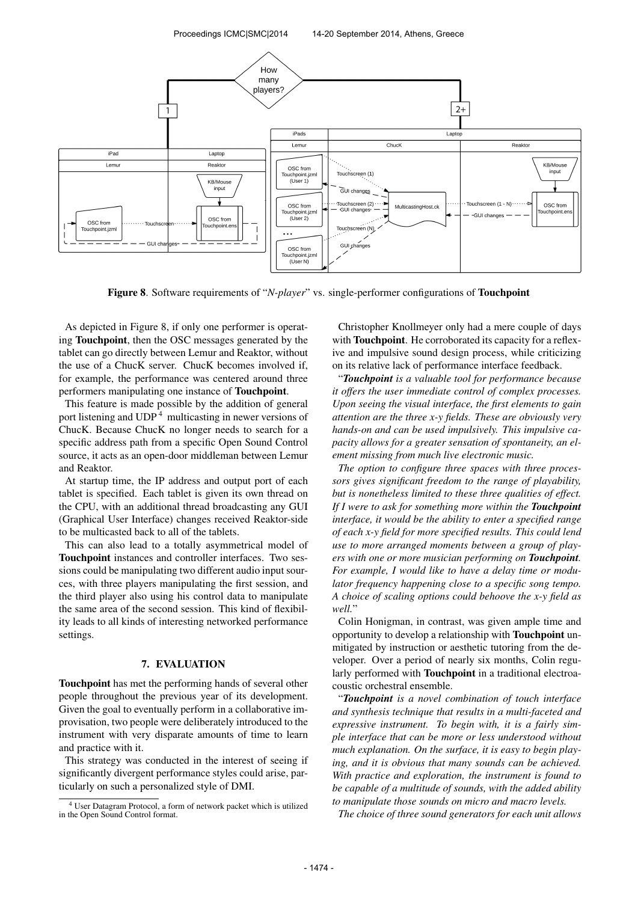Proceedings ICMC|SMC|2014 14-20 September 2014, Athens, Greece



Figure 8. Software requirements of "*N-player*" vs. single-performer configurations of Touchpoint

As depicted in Figure 8, if only one performer is operating Touchpoint, then the OSC messages generated by the tablet can go directly between Lemur and Reaktor, without the use of a ChucK server. ChucK becomes involved if, for example, the performance was centered around three performers manipulating one instance of Touchpoint.

This feature is made possible by the addition of general port listening and UDP <sup>4</sup> multicasting in newer versions of ChucK. Because ChucK no longer needs to search for a specific address path from a specific Open Sound Control source, it acts as an open-door middleman between Lemur and Reaktor.

At startup time, the IP address and output port of each tablet is specified. Each tablet is given its own thread on the CPU, with an additional thread broadcasting any GUI (Graphical User Interface) changes received Reaktor-side to be multicasted back to all of the tablets.

This can also lead to a totally asymmetrical model of Touchpoint instances and controller interfaces. Two sessions could be manipulating two different audio input sources, with three players manipulating the first session, and the third player also using his control data to manipulate the same area of the second session. This kind of flexibility leads to all kinds of interesting networked performance settings.

## 7. EVALUATION

Touchpoint has met the performing hands of several other people throughout the previous year of its development. Given the goal to eventually perform in a collaborative improvisation, two people were deliberately introduced to the instrument with very disparate amounts of time to learn and practice with it.

This strategy was conducted in the interest of seeing if significantly divergent performance styles could arise, particularly on such a personalized style of DMI.

Christopher Knollmeyer only had a mere couple of days with **Touchpoint**. He corroborated its capacity for a reflexive and impulsive sound design process, while criticizing on its relative lack of performance interface feedback.

"*Touchpoint is a valuable tool for performance because it offers the user immediate control of complex processes. Upon seeing the visual interface, the first elements to gain attention are the three x-y fields. These are obviously very hands-on and can be used impulsively. This impulsive capacity allows for a greater sensation of spontaneity, an element missing from much live electronic music.*

*The option to configure three spaces with three processors gives significant freedom to the range of playability, but is nonetheless limited to these three qualities of effect. If I were to ask for something more within the Touchpoint interface, it would be the ability to enter a specified range of each x-y field for more specified results. This could lend use to more arranged moments between a group of players with one or more musician performing on Touchpoint. For example, I would like to have a delay time or modulator frequency happening close to a specific song tempo. A choice of scaling options could behoove the x-y field as well.*"

Colin Honigman, in contrast, was given ample time and opportunity to develop a relationship with Touchpoint unmitigated by instruction or aesthetic tutoring from the developer. Over a period of nearly six months, Colin regularly performed with Touchpoint in a traditional electroacoustic orchestral ensemble.

"*Touchpoint is a novel combination of touch interface and synthesis technique that results in a multi-faceted and expressive instrument. To begin with, it is a fairly simple interface that can be more or less understood without much explanation. On the surface, it is easy to begin playing, and it is obvious that many sounds can be achieved. With practice and exploration, the instrument is found to be capable of a multitude of sounds, with the added ability to manipulate those sounds on micro and macro levels.*

*The choice of three sound generators for each unit allows*

<sup>4</sup> User Datagram Protocol, a form of network packet which is utilized in the Open Sound Control format.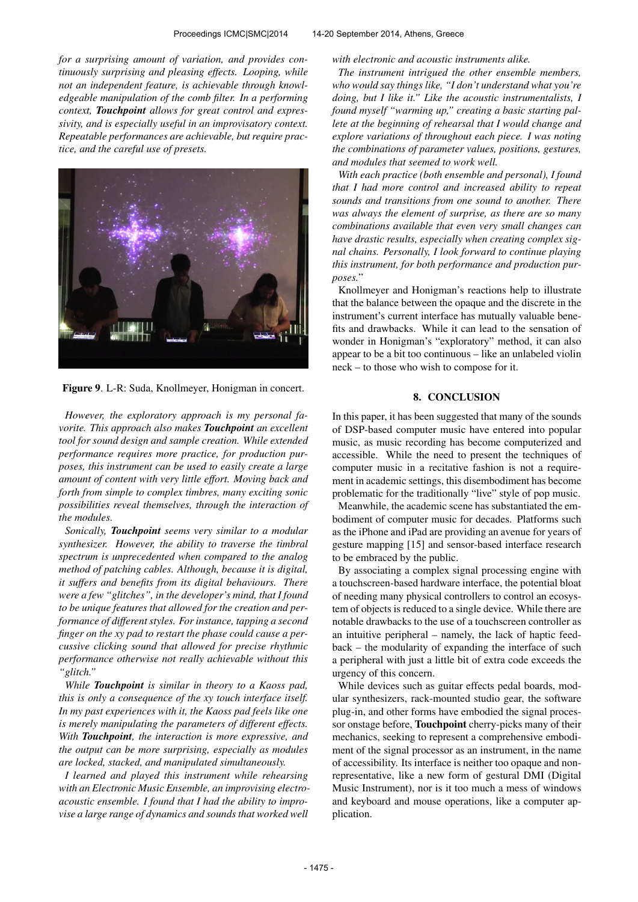*for a surprising amount of variation, and provides continuously surprising and pleasing effects. Looping, while not an independent feature, is achievable through knowledgeable manipulation of the comb filter. In a performing context, Touchpoint allows for great control and expressivity, and is especially useful in an improvisatory context. Repeatable performances are achievable, but require practice, and the careful use of presets.*



Figure 9. L-R: Suda, Knollmeyer, Honigman in concert.

*However, the exploratory approach is my personal favorite. This approach also makes Touchpoint an excellent tool for sound design and sample creation. While extended performance requires more practice, for production purposes, this instrument can be used to easily create a large amount of content with very little effort. Moving back and forth from simple to complex timbres, many exciting sonic possibilities reveal themselves, through the interaction of the modules.*

*Sonically, Touchpoint seems very similar to a modular synthesizer. However, the ability to traverse the timbral spectrum is unprecedented when compared to the analog method of patching cables. Although, because it is digital, it suffers and benefits from its digital behaviours. There were a few "glitches", in the developer's mind, that I found to be unique features that allowed for the creation and performance of different styles. For instance, tapping a second finger on the xy pad to restart the phase could cause a percussive clicking sound that allowed for precise rhythmic performance otherwise not really achievable without this "glitch."*

*While Touchpoint is similar in theory to a Kaoss pad, this is only a consequence of the xy touch interface itself. In my past experiences with it, the Kaoss pad feels like one is merely manipulating the parameters of different effects. With Touchpoint, the interaction is more expressive, and the output can be more surprising, especially as modules are locked, stacked, and manipulated simultaneously.*

*I learned and played this instrument while rehearsing with an Electronic Music Ensemble, an improvising electroacoustic ensemble. I found that I had the ability to improvise a large range of dynamics and sounds that worked well*

*with electronic and acoustic instruments alike.*

*The instrument intrigued the other ensemble members, who would say things like, "I don't understand what you're doing, but I like it." Like the acoustic instrumentalists, I found myself "warming up," creating a basic starting pallete at the beginning of rehearsal that I would change and explore variations of throughout each piece. I was noting the combinations of parameter values, positions, gestures, and modules that seemed to work well.*

*With each practice (both ensemble and personal), I found that I had more control and increased ability to repeat sounds and transitions from one sound to another. There was always the element of surprise, as there are so many combinations available that even very small changes can have drastic results, especially when creating complex signal chains. Personally, I look forward to continue playing this instrument, for both performance and production purposes.*"

Knollmeyer and Honigman's reactions help to illustrate that the balance between the opaque and the discrete in the instrument's current interface has mutually valuable benefits and drawbacks. While it can lead to the sensation of wonder in Honigman's "exploratory" method, it can also appear to be a bit too continuous – like an unlabeled violin neck – to those who wish to compose for it.

# 8. CONCLUSION

In this paper, it has been suggested that many of the sounds of DSP-based computer music have entered into popular music, as music recording has become computerized and accessible. While the need to present the techniques of computer music in a recitative fashion is not a requirement in academic settings, this disembodiment has become problematic for the traditionally "live" style of pop music.

Meanwhile, the academic scene has substantiated the embodiment of computer music for decades. Platforms such as the iPhone and iPad are providing an avenue for years of gesture mapping [15] and sensor-based interface research to be embraced by the public.

By associating a complex signal processing engine with a touchscreen-based hardware interface, the potential bloat of needing many physical controllers to control an ecosystem of objects is reduced to a single device. While there are notable drawbacks to the use of a touchscreen controller as an intuitive peripheral – namely, the lack of haptic feedback – the modularity of expanding the interface of such a peripheral with just a little bit of extra code exceeds the urgency of this concern.

While devices such as guitar effects pedal boards, modular synthesizers, rack-mounted studio gear, the software plug-in, and other forms have embodied the signal processor onstage before, Touchpoint cherry-picks many of their mechanics, seeking to represent a comprehensive embodiment of the signal processor as an instrument, in the name of accessibility. Its interface is neither too opaque and nonrepresentative, like a new form of gestural DMI (Digital Music Instrument), nor is it too much a mess of windows and keyboard and mouse operations, like a computer application.